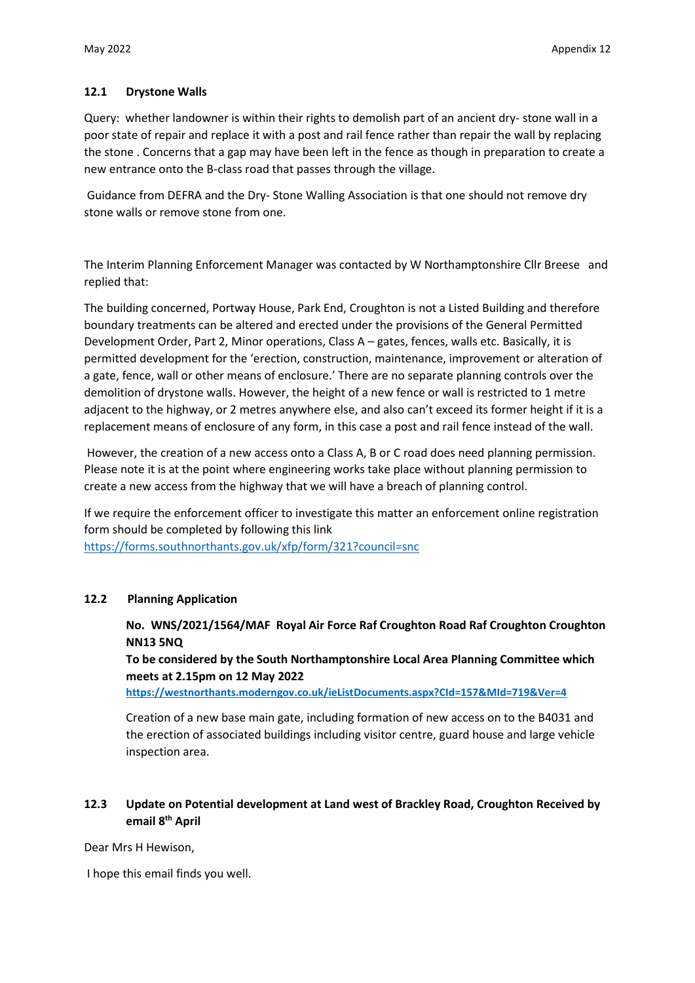## **12.1 Drystone Walls**

Query: whether landowner is within their rights to demolish part of an ancient dry- stone wall in a poor state of repair and replace it with a post and rail fence rather than repair the wall by replacing the stone . Concerns that a gap may have been left in the fence as though in preparation to create a new entrance onto the B-class road that passes through the village.

Guidance from DEFRA and the Dry- Stone Walling Association is that one should not remove dry stone walls or remove stone from one.

The Interim Planning Enforcement Manager was contacted by W Northamptonshire Cllr Breese and replied that:

The building concerned, Portway House, Park End, Croughton is not a Listed Building and therefore boundary treatments can be altered and erected under the provisions of the General Permitted Development Order, Part 2, Minor operations, Class A – gates, fences, walls etc. Basically, it is permitted development for the 'erection, construction, maintenance, improvement or alteration of a gate, fence, wall or other means of enclosure.' There are no separate planning controls over the demolition of drystone walls. However, the height of a new fence or wall is restricted to 1 metre adjacent to the highway, or 2 metres anywhere else, and also can't exceed its former height if it is a replacement means of enclosure of any form, in this case a post and rail fence instead of the wall.

However, the creation of a new access onto a Class A, B or C road does need planning permission. Please note it is at the point where engineering works take place without planning permission to create a new access from the highway that we will have a breach of planning control.

If we require the enforcement officer to investigate this matter an enforcement online registration form should be completed by following this link <https://forms.southnorthants.gov.uk/xfp/form/321?council=snc>

## **12.2 Planning Application**

**No. WNS/2021/1564/MAF Royal Air Force Raf Croughton Road Raf Croughton Croughton NN13 5NQ**

**To be considered by the South Northamptonshire Local Area Planning Committee which meets at 2.15pm on 12 May 2022**

**<https://westnorthants.moderngov.co.uk/ieListDocuments.aspx?CId=157&MId=719&Ver=4>**

Creation of a new base main gate, including formation of new access on to the B4031 and the erection of associated buildings including visitor centre, guard house and large vehicle inspection area.

## **12.3 Update on Potential development at Land west of Brackley Road, Croughton Received by email 8th April**

Dear Mrs H Hewison,

I hope this email finds you well.